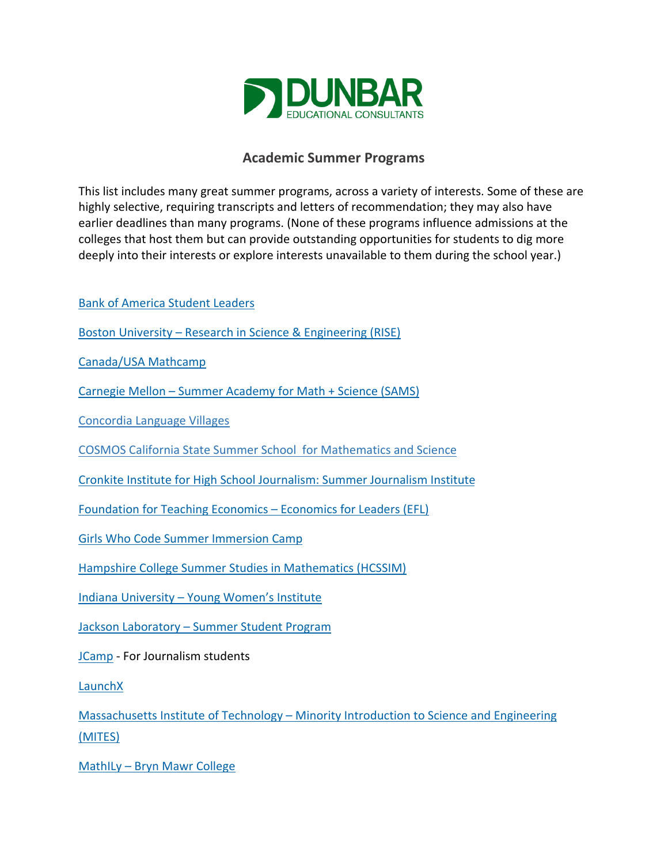

## **Academic Summer Programs**

This list includes many great summer programs, across a variety of interests. Some of these are highly selective, requiring transcripts and letters of recommendation; they may also have earlier deadlines than many programs. (None of these programs influence admissions at the colleges that host them but can provide outstanding opportunities for students to dig more deeply into their interests or explore interests unavailable to them during the school year.)

[Bank of America Student Leaders](https://about.bankofamerica.com/en-us/what-guides-us/student-leaders.html)

[Boston University – Research in Science & Engineering \(RISE\)](http://www.bu.edu/summer/high-school-programs/research/)

[Canada/USA Mathcamp](http://www.mathcamp.org/prospectiveapplicants/index.php)

[Carnegie Mellon – Summer Academy for Math + Science \(SAMS\)](https://www.cmu.edu/pre-college/academic-programs/sams.html)

[Concordia Language Villages](http://www.concordialanguagevillages.org/)

[COSMOS California State Summer School for Mathematics and Science](https://cosmos-ucop.ucdavis.edu/app/main)

[Cronkite Institute for High School Journalism: Summer Journalism Institute](https://cronkite.asu.edu/outreach/high-school-institute)

[Foundation for Teaching Economics – Economics for Leaders \(EFL\)](http://www.fte.org/student-programs/economics-for-leaders-program/)

[Girls Who Code Summer Immersion Camp](https://girlswhocode.com/programs/summer-immersion-program)

[Hampshire College Summer Studies in Mathematics \(HCSSIM\)](http://www.hcssim.org/)

[Indiana University – Young Women's Institute](http://kelley.iu.edu/Ugrad/PreCollege/YWI/page39078.html)

[Jackson Laboratory – Summer Student Program](https://www.jax.org/education-and-learning/high-school-students-and-undergraduates/learn-earn-and-explore)

[JCamp](https://www.aaja.org/jcamp-high-school-program) - For Journalism students

[LaunchX](http://launchx.com/summer-program/)

[Massachusetts Institute of Technology – Minority Introduction to Science and Engineering](http://oeop.mit.edu/programs/mites)  [\(MITES\)](http://oeop.mit.edu/programs/mites)

[MathILy – Bryn Mawr College](http://www.mathily.org/)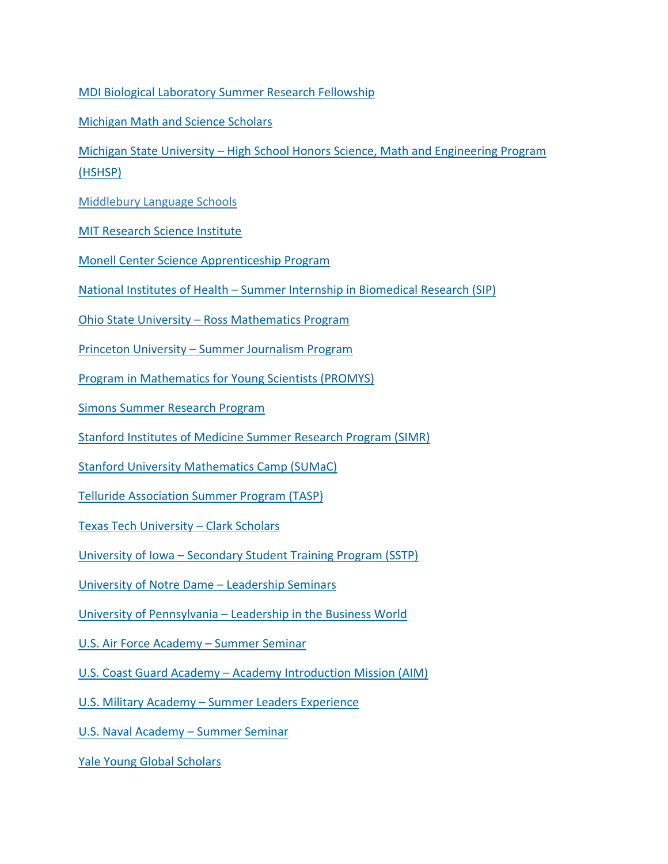[MDI Biological Laboratory Summer Research Fellowship](https://mdibl.org/education/hs-undergrad/hs-applications/)

[Michigan Math and Science Scholars](https://sites.lsa.umich.edu/mmss/)

[Michigan State University – High School Honors Science, Math and Engineering Program](https://education.msu.edu/hshsp/)  [\(HSHSP\)](https://education.msu.edu/hshsp/)

[Middlebury Language Schools](https://www.middlebury.edu/language-schools/)

[MIT Research Science Institute](https://www.cee.org/research-science-institute)

[Monell Center Science Apprenticeship Program](https://monell.org/science-apprenticeship-program/)

[National Institutes of Health – Summer Internship in Biomedical Research \(SIP\)](https://www.training.nih.gov/programs/hs-sip)

[Ohio State University – Ross Mathematics Program](http://u.osu.edu/rossmath/)

[Princeton University – Summer Journalism Program](http://www.princeton.edu/sjp/)

[Program in Mathematics for Young Scientists \(PROMYS\)](http://www.promys.org/)

[Simons Summer Research Program](http://www.stonybrook.edu/commcms/simons/index.php)

[Stanford Institutes of Medicine Summer Research Program \(SIMR\)](https://simr.stanford.edu/)

[Stanford University Mathematics Camp \(SUMaC\)](http://sumac.stanford.edu/)

[Telluride Association Summer Program \(TASP\)](http://www.tellurideassociation.org/our-programs/high-school-students/summer-program-juniors-tasp/)

[Texas Tech University – Clark Scholars](http://www.depts.ttu.edu/honors/academicsandenrichment/affiliatedandhighschool/clarks/)

[University of Iowa – Secondary Student Training Program \(SSTP\)](https://belinblank.education.uiowa.edu/students/sstp/)

[University of Notre Dame – Leadership Seminars](http://precollege.nd.edu/leadership-seminars/)

[University of Pennsylvania – Leadership in the Business World](https://www.wharton.upenn.edu/leadership-business-world/)

[U.S. Air Force Academy – Summer Seminar](https://www.academyadmissions.com/admissions/outreach-programs/summer-seminar/)

[U.S. Coast Guard Academy – Academy Introduction Mission \(AIM\)](https://www.uscga.edu/aim/)

[U.S. Military Academy – Summer Leaders Experience](https://www.usma.edu/admissions/sitepages/summer.aspx)

[U.S. Naval Academy – Summer Seminar](https://www.usna.edu/Admissions/Programs/NASS.php)

[Yale Young Global Scholars](http://globalscholars.yale.edu/about-us)